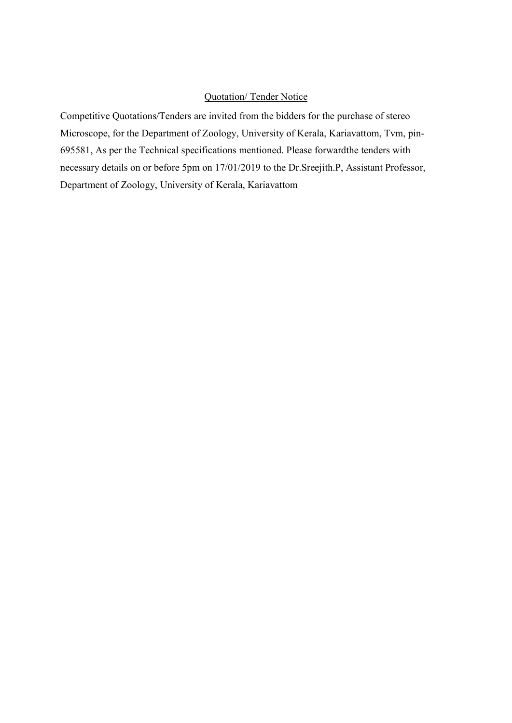## Quotation/ Tender Notice

Competitive Quotations/Tenders are invited from the bidders for the purchase of stereo Microscope, for the Department of Zoology, University of Kerala, Kariavattom, Tvm, pin-695581, As per the Technical specifications mentioned. Please forwardthe tenders with necessary details on or before 5pm on 17/01/2019 to the Dr.Sreejith.P, Assistant Professor, Department of Zoology, University of Kerala, Kariavattom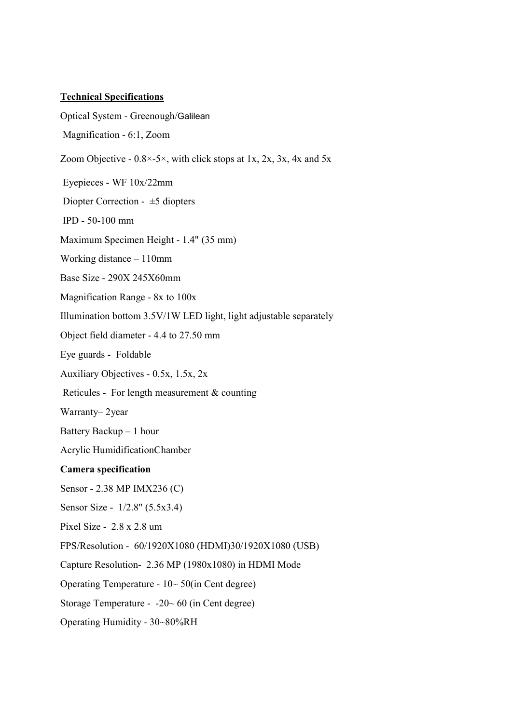## Technical Specifications

Optical System - Greenough/Galilean

Magnification - 6:1, Zoom

Zoom Objective -  $0.8 \times -5 \times$ , with click stops at 1x, 2x, 3x, 4x and 5x

Eyepieces - WF 10x/22mm

Diopter Correction - ±5 diopters

IPD - 50-100 mm

Maximum Specimen Height - 1.4" (35 mm)

Working distance – 110mm

Base Size - 290X 245X60mm

Magnification Range - 8x to 100x

Illumination bottom 3.5V/1W LED light, light adjustable separately

Object field diameter - 4.4 to 27.50 mm

Eye guards - Foldable

Auxiliary Objectives - 0.5x, 1.5x, 2x

Reticules - For length measurement & counting

Warranty– 2year

Battery Backup – 1 hour

Acrylic HumidificationChamber

## Camera specification

Sensor - 2.38 MP IMX236 (C)

Sensor Size - 1/2.8" (5.5x3.4)

Pixel Size - 2.8 x 2.8 um

FPS/Resolution - 60/1920X1080 (HDMI)30/1920X1080 (USB)

Capture Resolution- 2.36 MP (1980x1080) in HDMI Mode

Operating Temperature - 10~ 50(in Cent degree)

Storage Temperature - -20~ 60 (in Cent degree)

Operating Humidity - 30~80%RH